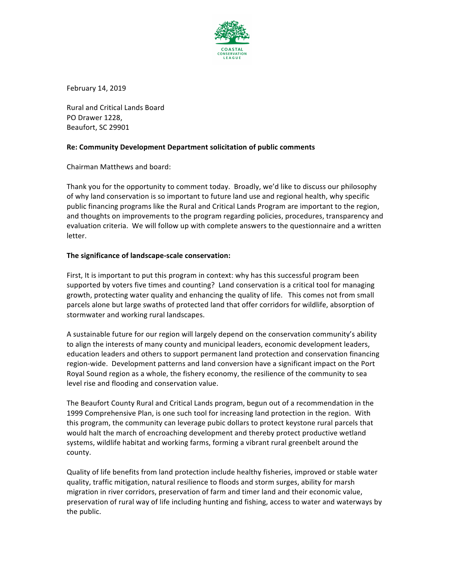

February 14, 2019

Rural and Critical Lands Board PO Drawer 1228, Beaufort, SC 29901

# **Re: Community Development Department solicitation of public comments**

Chairman Matthews and board:

Thank you for the opportunity to comment today. Broadly, we'd like to discuss our philosophy of why land conservation is so important to future land use and regional health, why specific public financing programs like the Rural and Critical Lands Program are important to the region, and thoughts on improvements to the program regarding policies, procedures, transparency and evaluation criteria. We will follow up with complete answers to the questionnaire and a written letter. 

# The significance of landscape-scale conservation:

First, It is important to put this program in context: why has this successful program been supported by voters five times and counting? Land conservation is a critical tool for managing growth, protecting water quality and enhancing the quality of life. This comes not from small parcels alone but large swaths of protected land that offer corridors for wildlife, absorption of stormwater and working rural landscapes.

A sustainable future for our region will largely depend on the conservation community's ability to align the interests of many county and municipal leaders, economic development leaders, education leaders and others to support permanent land protection and conservation financing region-wide. Development patterns and land conversion have a significant impact on the Port Royal Sound region as a whole, the fishery economy, the resilience of the community to sea level rise and flooding and conservation value.

The Beaufort County Rural and Critical Lands program, begun out of a recommendation in the 1999 Comprehensive Plan, is one such tool for increasing land protection in the region. With this program, the community can leverage pubic dollars to protect keystone rural parcels that would halt the march of encroaching development and thereby protect productive wetland systems, wildlife habitat and working farms, forming a vibrant rural greenbelt around the county.

Quality of life benefits from land protection include healthy fisheries, improved or stable water quality, traffic mitigation, natural resilience to floods and storm surges, ability for marsh migration in river corridors, preservation of farm and timer land and their economic value, preservation of rural way of life including hunting and fishing, access to water and waterways by the public.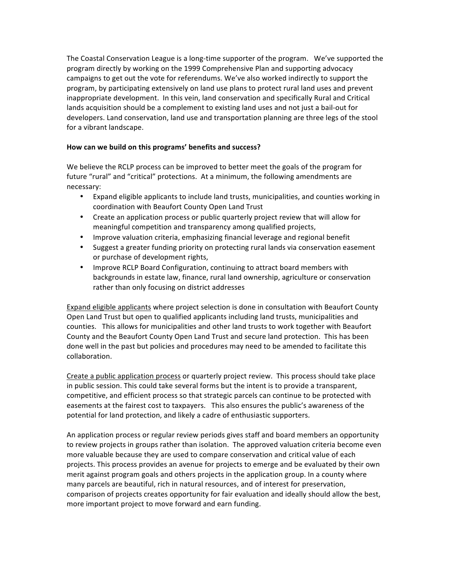The Coastal Conservation League is a long-time supporter of the program. We've supported the program directly by working on the 1999 Comprehensive Plan and supporting advocacy campaigns to get out the vote for referendums. We've also worked indirectly to support the program, by participating extensively on land use plans to protect rural land uses and prevent inappropriate development. In this vein, land conservation and specifically Rural and Critical lands acquisition should be a complement to existing land uses and not just a bail-out for developers. Land conservation, land use and transportation planning are three legs of the stool for a vibrant landscape.

## How can we build on this programs' benefits and success?

We believe the RCLP process can be improved to better meet the goals of the program for future "rural" and "critical" protections. At a minimum, the following amendments are necessary:

- Expand eligible applicants to include land trusts, municipalities, and counties working in coordination with Beaufort County Open Land Trust
- Create an application process or public quarterly project review that will allow for meaningful competition and transparency among qualified projects,
- Improve valuation criteria, emphasizing financial leverage and regional benefit
- Suggest a greater funding priority on protecting rural lands via conservation easement or purchase of development rights,
- Improve RCLP Board Configuration, continuing to attract board members with backgrounds in estate law, finance, rural land ownership, agriculture or conservation rather than only focusing on district addresses

Expand eligible applicants where project selection is done in consultation with Beaufort County Open Land Trust but open to qualified applicants including land trusts, municipalities and counties. This allows for municipalities and other land trusts to work together with Beaufort County and the Beaufort County Open Land Trust and secure land protection. This has been done well in the past but policies and procedures may need to be amended to facilitate this collaboration. 

Create a public application process or quarterly project review. This process should take place in public session. This could take several forms but the intent is to provide a transparent, competitive, and efficient process so that strategic parcels can continue to be protected with easements at the fairest cost to taxpayers. This also ensures the public's awareness of the potential for land protection, and likely a cadre of enthusiastic supporters.

An application process or regular review periods gives staff and board members an opportunity to review projects in groups rather than isolation. The approved valuation criteria become even more valuable because they are used to compare conservation and critical value of each projects. This process provides an avenue for projects to emerge and be evaluated by their own merit against program goals and others projects in the application group. In a county where many parcels are beautiful, rich in natural resources, and of interest for preservation, comparison of projects creates opportunity for fair evaluation and ideally should allow the best, more important project to move forward and earn funding.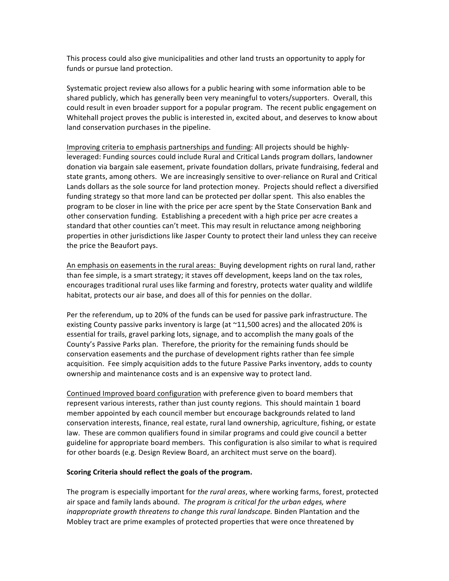This process could also give municipalities and other land trusts an opportunity to apply for funds or pursue land protection.

Systematic project review also allows for a public hearing with some information able to be shared publicly, which has generally been very meaningful to voters/supporters. Overall, this could result in even broader support for a popular program. The recent public engagement on Whitehall project proves the public is interested in, excited about, and deserves to know about land conservation purchases in the pipeline.

Improving criteria to emphasis partnerships and funding: All projects should be highlyleveraged: Funding sources could include Rural and Critical Lands program dollars, landowner donation via bargain sale easement, private foundation dollars, private fundraising, federal and state grants, among others. We are increasingly sensitive to over-reliance on Rural and Critical Lands dollars as the sole source for land protection money. Projects should reflect a diversified funding strategy so that more land can be protected per dollar spent. This also enables the program to be closer in line with the price per acre spent by the State Conservation Bank and other conservation funding. Establishing a precedent with a high price per acre creates a standard that other counties can't meet. This may result in reluctance among neighboring properties in other jurisdictions like Jasper County to protect their land unless they can receive the price the Beaufort pays.

An emphasis on easements in the rural areas: Buying development rights on rural land, rather than fee simple, is a smart strategy; it staves off development, keeps land on the tax roles, encourages traditional rural uses like farming and forestry, protects water quality and wildlife habitat, protects our air base, and does all of this for pennies on the dollar.

Per the referendum, up to 20% of the funds can be used for passive park infrastructure. The existing County passive parks inventory is large (at  $\sim$ 11,500 acres) and the allocated 20% is essential for trails, gravel parking lots, signage, and to accomplish the many goals of the County's Passive Parks plan. Therefore, the priority for the remaining funds should be conservation easements and the purchase of development rights rather than fee simple acquisition. Fee simply acquisition adds to the future Passive Parks inventory, adds to county ownership and maintenance costs and is an expensive way to protect land.

Continued Improved board configuration with preference given to board members that represent various interests, rather than just county regions. This should maintain 1 board member appointed by each council member but encourage backgrounds related to land conservation interests, finance, real estate, rural land ownership, agriculture, fishing, or estate law. These are common qualifiers found in similar programs and could give council a better guideline for appropriate board members. This configuration is also similar to what is required for other boards (e.g. Design Review Board, an architect must serve on the board).

## Scoring Criteria should reflect the goals of the program.

The program is especially important for the rural areas, where working farms, forest, protected air space and family lands abound. The program is critical for the urban edges, where *inappropriate growth threatens to change this rural landscape.* Binden Plantation and the Mobley tract are prime examples of protected properties that were once threatened by